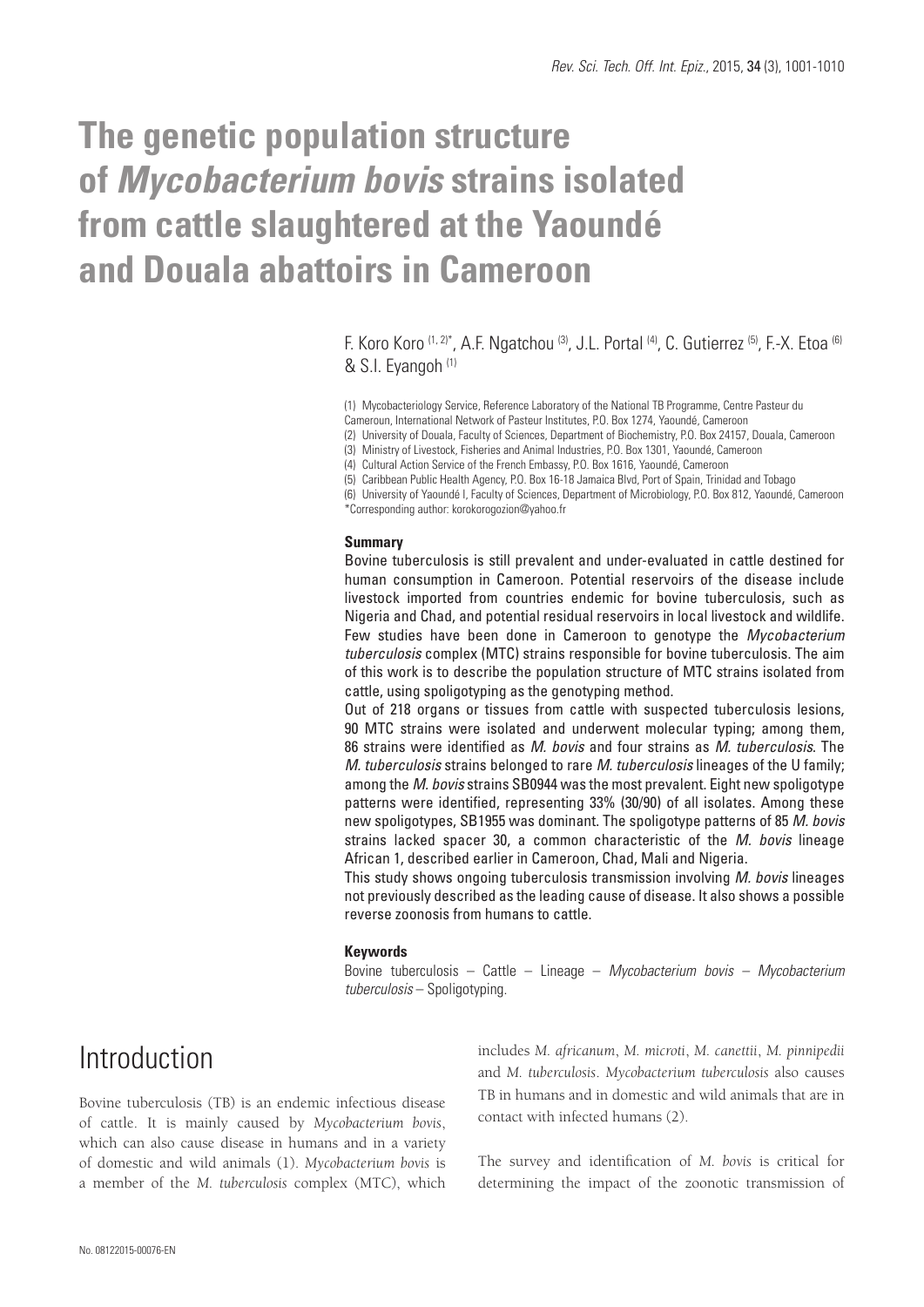# **The genetic population structure of** *Mycobacterium bovis* **strains isolated from cattle slaughtered at the Yaoundé and Douala abattoirs in Cameroon**

F. Koro Koro (1, 2)\*, A.F. Ngatchou (3), J.L. Portal (4), C. Gutierrez (5), F.-X. Etoa (6) & S.I. Eyangoh (1)

(1) Mycobacteriology Service, Reference Laboratory of the National TB Programme, Centre Pasteur du Cameroun, International Network of Pasteur Institutes, P.O. Box 1274, Yaoundé, Cameroon

(2) University of Douala, Faculty of Sciences, Department of Biochemistry, P.O. Box 24157, Douala, Cameroon

(3) Ministry of Livestock, Fisheries and Animal Industries, P.O. Box 1301, Yaoundé, Cameroon

(4) Cultural Action Service of the French Embassy, P.O. Box 1616, Yaoundé, Cameroon

(5) Caribbean Public Health Agency, P.O. Box 16-18 Jamaica Blvd, Port of Spain, Trinidad and Tobago

(6) University of Yaoundé I, Faculty of Sciences, Department of Microbiology, P.O. Box 812, Yaoundé, Cameroon \*Corresponding author: korokorogozion@yahoo.fr

#### **Summary**

Bovine tuberculosis is still prevalent and under-evaluated in cattle destined for human consumption in Cameroon. Potential reservoirs of the disease include livestock imported from countries endemic for bovine tuberculosis, such as Nigeria and Chad, and potential residual reservoirs in local livestock and wildlife. Few studies have been done in Cameroon to genotype the *Mycobacterium tuberculosis* complex (MTC) strains responsible for bovine tuberculosis. The aim of this work is to describe the population structure of MTC strains isolated from cattle, using spoligotyping as the genotyping method.

Out of 218 organs or tissues from cattle with suspected tuberculosis lesions, 90 MTC strains were isolated and underwent molecular typing; among them, 86 strains were identified as *M. bovis* and four strains as *M. tuberculosis*. The *M. tuberculosis* strains belonged to rare *M. tuberculosis* lineages of the U family; among the *M. bovis* strains SB0944 was the most prevalent. Eight new spoligotype patterns were identified, representing 33% (30/90) of all isolates. Among these new spoligotypes, SB1955 was dominant. The spoligotype patterns of 85 *M. bovis* strains lacked spacer 30, a common characteristic of the *M. bovis* lineage African 1, described earlier in Cameroon, Chad, Mali and Nigeria.

This study shows ongoing tuberculosis transmission involving *M. bovis* lineages not previously described as the leading cause of disease. It also shows a possible reverse zoonosis from humans to cattle.

### **Keywords**

Bovine tuberculosis – Cattle – Lineage – *Mycobacterium bovis – Mycobacterium tuberculosis* – Spoligotyping.

# Introduction

Bovine tuberculosis (TB) is an endemic infectious disease of cattle. It is mainly caused by *Mycobacterium bovis*, which can also cause disease in humans and in a variety of domestic and wild animals (1). *Mycobacterium bovis* is a member of the *M. tuberculosis* complex (MTC), which includes *M. africanum*, *M. microti*, *M. canettii*, *M. pinnipedii* and *M. tuberculosis*. *Mycobacterium tuberculosis* also causes TB in humans and in domestic and wild animals that are in contact with infected humans (2).

The survey and identification of *M. bovis* is critical for determining the impact of the zoonotic transmission of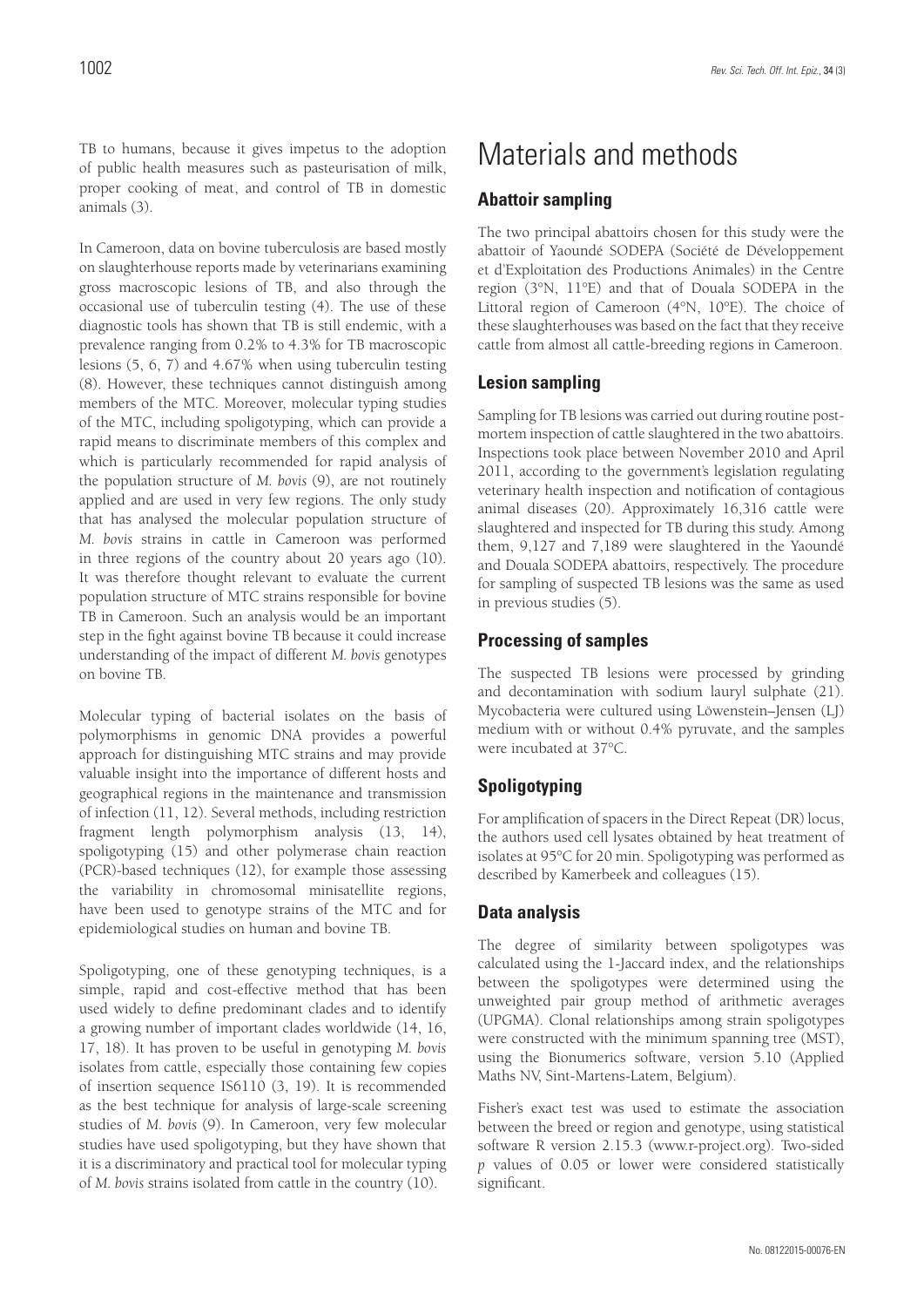TB to humans, because it gives impetus to the adoption of public health measures such as pasteurisation of milk, proper cooking of meat, and control of TB in domestic animals (3).

In Cameroon, data on bovine tuberculosis are based mostly on slaughterhouse reports made by veterinarians examining gross macroscopic lesions of TB, and also through the occasional use of tuberculin testing (4). The use of these diagnostic tools has shown that TB is still endemic, with a prevalence ranging from 0.2% to 4.3% for TB macroscopic lesions (5, 6, 7) and 4.67% when using tuberculin testing (8). However, these techniques cannot distinguish among members of the MTC. Moreover, molecular typing studies of the MTC, including spoligotyping, which can provide a rapid means to discriminate members of this complex and which is particularly recommended for rapid analysis of the population structure of *M. bovis* (9), are not routinely applied and are used in very few regions. The only study that has analysed the molecular population structure of *M. bovis* strains in cattle in Cameroon was performed in three regions of the country about 20 years ago (10). It was therefore thought relevant to evaluate the current population structure of MTC strains responsible for bovine TB in Cameroon. Such an analysis would be an important step in the fight against bovine TB because it could increase understanding of the impact of different *M. bovis* genotypes on bovine TB.

Molecular typing of bacterial isolates on the basis of polymorphisms in genomic DNA provides a powerful approach for distinguishing MTC strains and may provide valuable insight into the importance of different hosts and geographical regions in the maintenance and transmission of infection (11, 12). Several methods, including restriction fragment length polymorphism analysis (13, 14), spoligotyping (15) and other polymerase chain reaction (PCR)-based techniques (12), for example those assessing the variability in chromosomal minisatellite regions, have been used to genotype strains of the MTC and for epidemiological studies on human and bovine TB.

Spoligotyping, one of these genotyping techniques, is a simple, rapid and cost-effective method that has been used widely to define predominant clades and to identify a growing number of important clades worldwide (14, 16, 17, 18). It has proven to be useful in genotyping *M. bovis* isolates from cattle, especially those containing few copies of insertion sequence IS6110 (3, 19). It is recommended as the best technique for analysis of large-scale screening studies of *M. bovis* (9). In Cameroon, very few molecular studies have used spoligotyping, but they have shown that it is a discriminatory and practical tool for molecular typing of *M. bovis* strains isolated from cattle in the country (10).

# Materials and methods

### **Abattoir sampling**

The two principal abattoirs chosen for this study were the abattoir of Yaoundé SODEPA (Société de Développement et d'Exploitation des Productions Animales) in the Centre region (3°N, 11°E) and that of Douala SODEPA in the Littoral region of Cameroon (4°N, 10°E). The choice of these slaughterhouses was based on the fact that they receive cattle from almost all cattle-breeding regions in Cameroon.

### **Lesion sampling**

Sampling for TB lesions was carried out during routine postmortem inspection of cattle slaughtered in the two abattoirs. Inspections took place between November 2010 and April 2011, according to the government's legislation regulating veterinary health inspection and notification of contagious animal diseases (20). Approximately 16,316 cattle were slaughtered and inspected for TB during this study. Among them, 9,127 and 7,189 were slaughtered in the Yaoundé and Douala SODEPA abattoirs, respectively. The procedure for sampling of suspected TB lesions was the same as used in previous studies (5).

### **Processing of samples**

The suspected TB lesions were processed by grinding and decontamination with sodium lauryl sulphate (21). Mycobacteria were cultured using Löwenstein–Jensen (LJ) medium with or without 0.4% pyruvate, and the samples were incubated at 37°C.

# **Spoligotyping**

For amplification of spacers in the Direct Repeat (DR) locus, the authors used cell lysates obtained by heat treatment of isolates at 95°C for 20 min. Spoligotyping was performed as described by Kamerbeek and colleagues (15).

# **Data analysis**

The degree of similarity between spoligotypes was calculated using the 1-Jaccard index, and the relationships between the spoligotypes were determined using the unweighted pair group method of arithmetic averages (UPGMA). Clonal relationships among strain spoligotypes were constructed with the minimum spanning tree (MST), using the Bionumerics software, version 5.10 (Applied Maths NV, Sint-Martens-Latem, Belgium).

Fisher's exact test was used to estimate the association between the breed or region and genotype, using statistical software R version 2.15.3 (www.r-project.org). Two-sided *p* values of 0.05 or lower were considered statistically significant.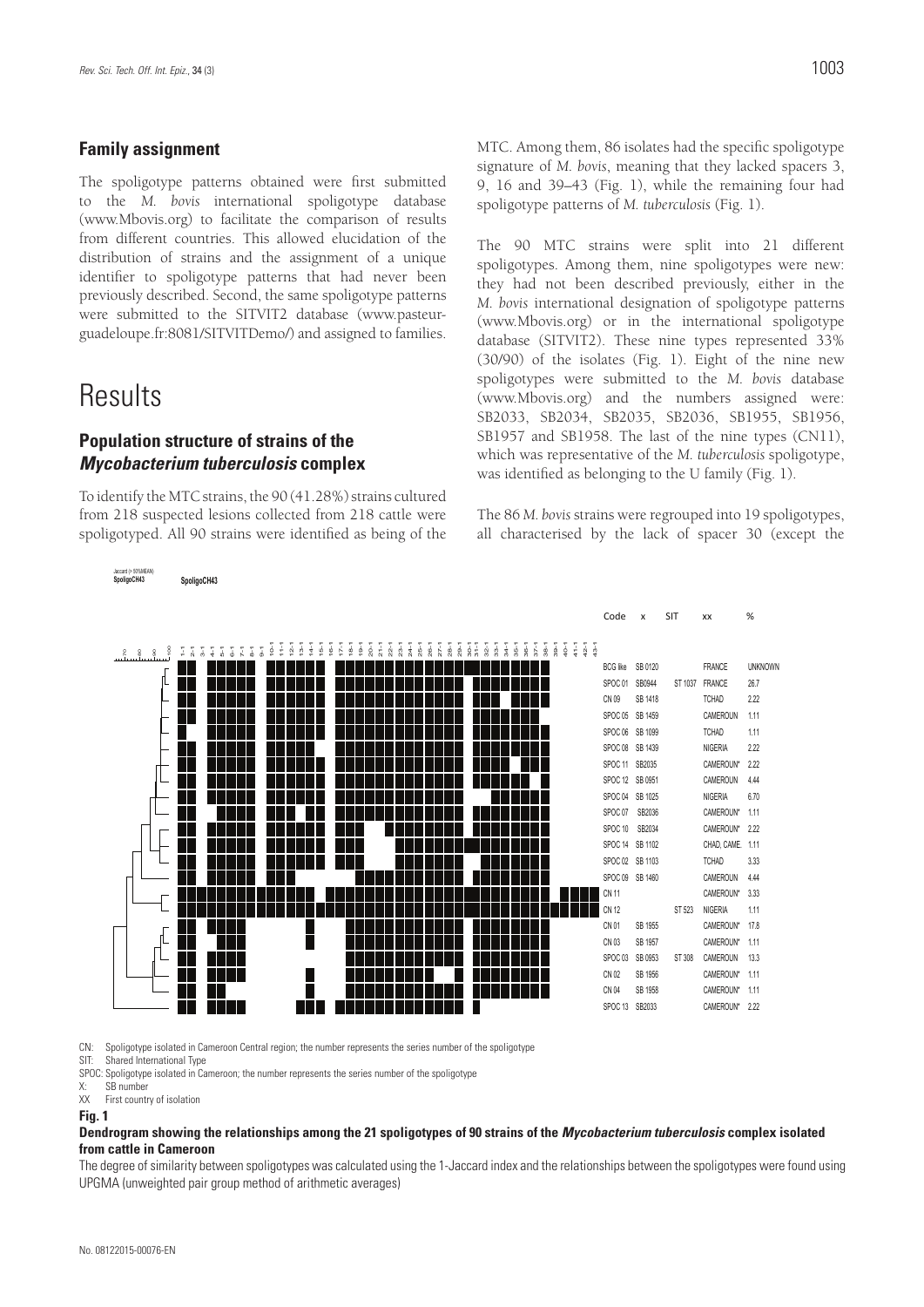### **Family assignment**

The spoligotype patterns obtained were first submitted to the *M. bovis* international spoligotype database (www.Mbovis.org) to facilitate the comparison of results from different countries. This allowed elucidation of the distribution of strains and the assignment of a unique identifier to spoligotype patterns that had never been previously described. Second, the same spoligotype patterns were submitted to the SITVIT2 database (www.pasteurguadeloupe.fr:8081/SITVITDemo/) and assigned to families.

# **Results**

Jaccard (> 50%MEAN)

### **Population structure of strains of the**  *Mycobacterium tuberculosis* **complex**

To identify the MTC strains, the 90 (41.28%) strains cultured from 218 suspected lesions collected from 218 cattle were spoligotyped. All 90 strains were identified as being of the MTC. Among them, 86 isolates had the specific spoligotype signature of *M. bovis*, meaning that they lacked spacers 3, 9, 16 and 39–43 (Fig. 1), while the remaining four had spoligotype patterns of *M. tuberculosis* (Fig. 1).

The 90 MTC strains were split into 21 different spoligotypes. Among them, nine spoligotypes were new: they had not been described previously, either in the *M. bovis* international designation of spoligotype patterns (www.Mbovis.org) or in the international spoligotype database (SITVIT2). These nine types represented 33% (30/90) of the isolates (Fig. 1). Eight of the nine new spoligotypes were submitted to the *M. bovis* database (www.Mbovis.org) and the numbers assigned were: SB2033, SB2034, SB2035, SB2036, SB1955, SB1956, SB1957 and SB1958. The last of the nine types (CN11), which was representative of the *M. tuberculosis* spoligotype, was identified as belonging to the U family (Fig. 1).

The 86 *M. bovis* strains were regrouped into 19 spoligotypes, all characterised by the lack of spacer 30 (except the



CN: Spoligotype isolated in Cameroon Central region; the number represents the series number of the spoligotype

SIT Shared International Type

SPOC: Spoligotype isolated in Cameroon; the number represents the series number of the spoligotype

X: SB number<br>XX First counts First country of isolation

#### **Fig. 1**

#### **Dendrogram showing the relationships among the 21 spoligotypes of 90 strains of the** *Mycobacterium tuberculosis* **complex isolated from cattle in Cameroon**

The degree of similarity between spoligotypes was calculated using the 1-Jaccard index and the relationships between the spoligotypes were found using UPGMA (unweighted pair group method of arithmetic averages)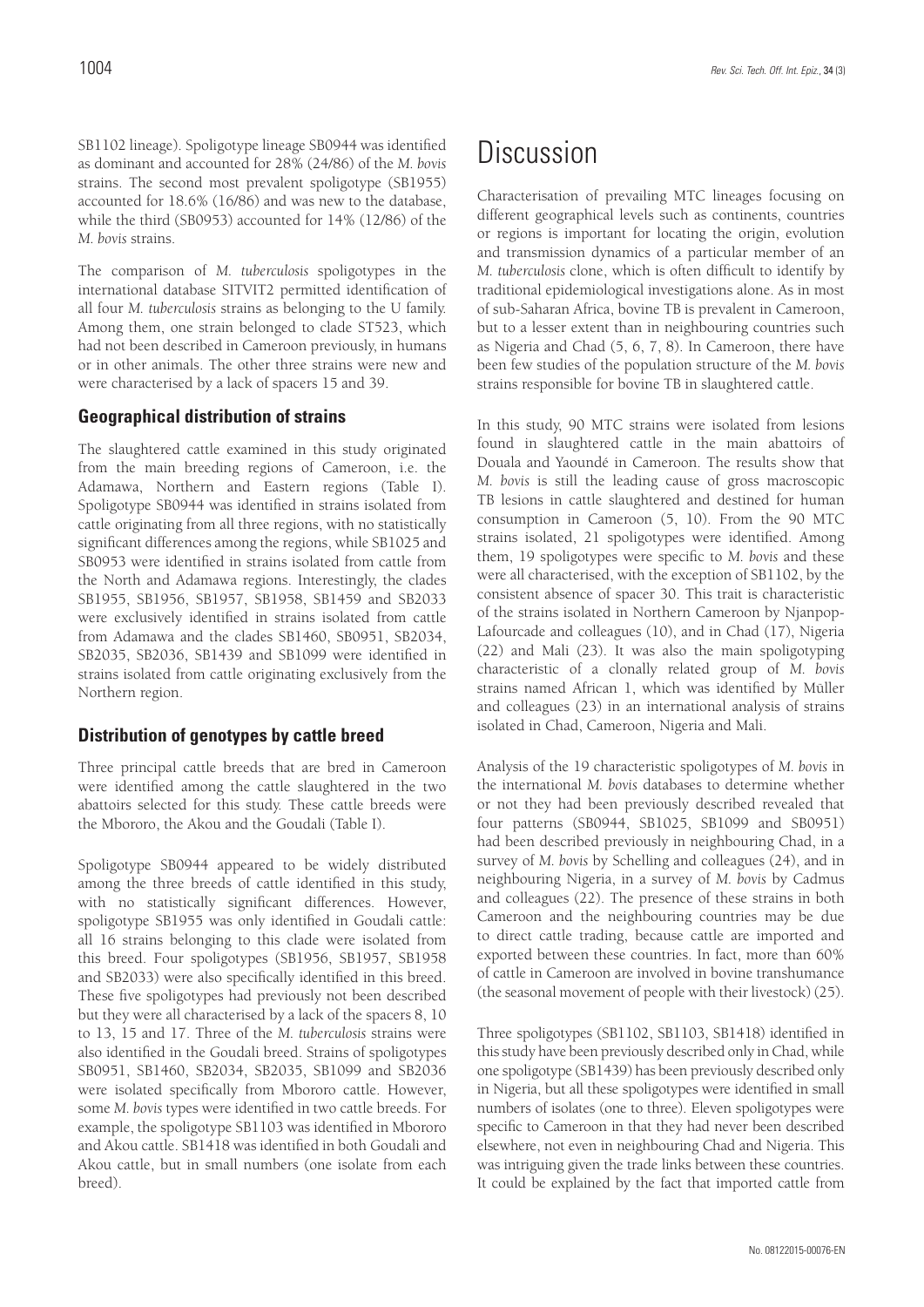SB1102 lineage). Spoligotype lineage SB0944 was identified as dominant and accounted for 28% (24/86) of the *M. bovis* strains. The second most prevalent spoligotype (SB1955) accounted for 18.6% (16/86) and was new to the database, while the third (SB0953) accounted for 14% (12/86) of the *M. bovis* strains.

The comparison of *M. tuberculosis* spoligotypes in the international database SITVIT2 permitted identification of all four *M. tuberculosis* strains as belonging to the U family. Among them, one strain belonged to clade ST523, which had not been described in Cameroon previously, in humans or in other animals. The other three strains were new and were characterised by a lack of spacers 15 and 39.

### **Geographical distribution of strains**

The slaughtered cattle examined in this study originated from the main breeding regions of Cameroon, i.e. the Adamawa, Northern and Eastern regions (Table I). Spoligotype SB0944 was identified in strains isolated from cattle originating from all three regions, with no statistically significant differences among the regions, while SB1025 and SB0953 were identified in strains isolated from cattle from the North and Adamawa regions. Interestingly, the clades SB1955, SB1956, SB1957, SB1958, SB1459 and SB2033 were exclusively identified in strains isolated from cattle from Adamawa and the clades SB1460, SB0951, SB2034, SB2035, SB2036, SB1439 and SB1099 were identified in strains isolated from cattle originating exclusively from the Northern region.

# **Distribution of genotypes by cattle breed**

Three principal cattle breeds that are bred in Cameroon were identified among the cattle slaughtered in the two abattoirs selected for this study. These cattle breeds were the Mbororo, the Akou and the Goudali (Table I).

Spoligotype SB0944 appeared to be widely distributed among the three breeds of cattle identified in this study, with no statistically significant differences. However, spoligotype SB1955 was only identified in Goudali cattle: all 16 strains belonging to this clade were isolated from this breed. Four spoligotypes (SB1956, SB1957, SB1958 and SB2033) were also specifically identified in this breed. These five spoligotypes had previously not been described but they were all characterised by a lack of the spacers 8, 10 to 13, 15 and 17. Three of the *M. tuberculosis* strains were also identified in the Goudali breed. Strains of spoligotypes SB0951, SB1460, SB2034, SB2035, SB1099 and SB2036 were isolated specifically from Mbororo cattle. However, some *M. bovis* types were identified in two cattle breeds. For example, the spoligotype SB1103 was identified in Mbororo and Akou cattle. SB1418 was identified in both Goudali and Akou cattle, but in small numbers (one isolate from each breed).

# Discussion

Characterisation of prevailing MTC lineages focusing on different geographical levels such as continents, countries or regions is important for locating the origin, evolution and transmission dynamics of a particular member of an *M. tuberculosis* clone, which is often difficult to identify by traditional epidemiological investigations alone. As in most of sub-Saharan Africa, bovine TB is prevalent in Cameroon, but to a lesser extent than in neighbouring countries such as Nigeria and Chad (5, 6, 7, 8). In Cameroon, there have been few studies of the population structure of the *M. bovis* strains responsible for bovine TB in slaughtered cattle.

In this study, 90 MTC strains were isolated from lesions found in slaughtered cattle in the main abattoirs of Douala and Yaoundé in Cameroon. The results show that *M. bovis* is still the leading cause of gross macroscopic TB lesions in cattle slaughtered and destined for human consumption in Cameroon (5, 10). From the 90 MTC strains isolated, 21 spoligotypes were identified. Among them, 19 spoligotypes were specific to *M. bovis* and these were all characterised, with the exception of SB1102, by the consistent absence of spacer 30. This trait is characteristic of the strains isolated in Northern Cameroon by Njanpop-Lafourcade and colleagues (10), and in Chad (17), Nigeria (22) and Mali (23). It was also the main spoligotyping characteristic of a clonally related group of *M. bovis*  strains named African 1, which was identified by Müller and colleagues (23) in an international analysis of strains isolated in Chad, Cameroon, Nigeria and Mali.

Analysis of the 19 characteristic spoligotypes of *M. bovis* in the international *M. bovis* databases to determine whether or not they had been previously described revealed that four patterns (SB0944, SB1025, SB1099 and SB0951) had been described previously in neighbouring Chad, in a survey of *M. bovis* by Schelling and colleagues (24), and in neighbouring Nigeria, in a survey of *M. bovis* by Cadmus and colleagues (22). The presence of these strains in both Cameroon and the neighbouring countries may be due to direct cattle trading, because cattle are imported and exported between these countries. In fact, more than 60% of cattle in Cameroon are involved in bovine transhumance (the seasonal movement of people with their livestock) (25).

Three spoligotypes (SB1102, SB1103, SB1418) identified in this study have been previously described only in Chad, while one spoligotype (SB1439) has been previously described only in Nigeria, but all these spoligotypes were identified in small numbers of isolates (one to three). Eleven spoligotypes were specific to Cameroon in that they had never been described elsewhere, not even in neighbouring Chad and Nigeria. This was intriguing given the trade links between these countries. It could be explained by the fact that imported cattle from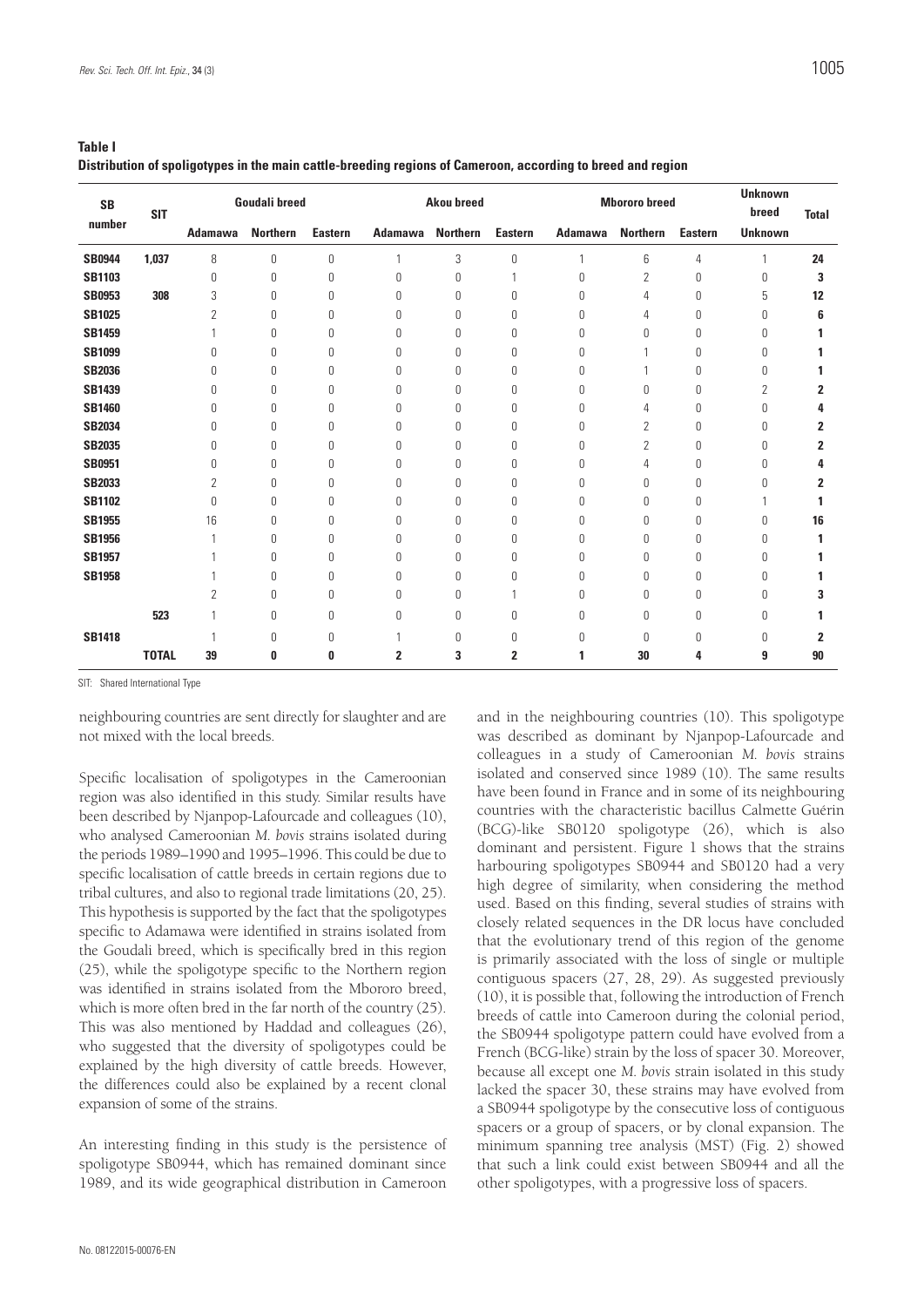| . .<br>$\sim$<br>×<br>۰. |  |
|--------------------------|--|
|--------------------------|--|

**Distribution of spoligotypes in the main cattle-breeding regions of Cameroon, according to breed and region**

| <b>SB</b><br>number | <b>SIT</b>   | <b>Goudali breed</b> |                 |                | <b>Akou breed</b> |                 |                | <b>Mbororo</b> breed |                 |                | <b>Unknown</b><br>breed | <b>Total</b>   |
|---------------------|--------------|----------------------|-----------------|----------------|-------------------|-----------------|----------------|----------------------|-----------------|----------------|-------------------------|----------------|
|                     |              | <b>Adamawa</b>       | <b>Northern</b> | <b>Eastern</b> | <b>Adamawa</b>    | <b>Northern</b> | <b>Eastern</b> | <b>Adamawa</b>       | <b>Northern</b> | <b>Eastern</b> | <b>Unknown</b>          |                |
| <b>SB0944</b>       | 1.037        | 8                    | $\mathbf 0$     | 0              | 1                 | 3               | 0              | $\mathbf{1}$         | 6               | 4              | $\mathbf{1}$            | 24             |
| <b>SB1103</b>       |              | 0                    | 0               | 0              | 0                 | 0               | 1              | 0                    | 2               | 0              | 0                       | 3              |
| <b>SB0953</b>       | 308          | 3                    | 0               | 0              | $\theta$          | 0               | 0              | 0                    | 4               | 0              | 5                       | 12             |
| <b>SB1025</b>       |              | 2                    | 0               | 0              | 0                 | 0               | 0              | 0                    | 4               | 0              | 0                       | 6              |
| <b>SB1459</b>       |              |                      | 0               | 0              | 0                 | 0               | 0              | 0                    | 0               | 0              | $\Omega$                |                |
| <b>SB1099</b>       |              | 0                    | 0               | 0              | 0                 | 0               | 0              | 0                    |                 | 0              | 0                       |                |
| <b>SB2036</b>       |              | 0                    | 0               | 0              | $\theta$          | 0               | 0              | 0                    |                 | 0              | $\Omega$                |                |
| <b>SB1439</b>       |              | 0                    | 0               | 0              | 0                 | 0               | 0              | Ŋ                    | 0               | 0              | $\overline{2}$          | 2              |
| <b>SB1460</b>       |              | 0                    | 0               | 0              | 0                 | 0               | 0              | $\Omega$             | 4               | 0              | $\Omega$                | 4              |
| <b>SB2034</b>       |              | 0                    | 0               | 0              | 0                 | 0               | 0              | 0                    | 2               | 0              | 0                       | 2              |
| <b>SB2035</b>       |              | 0                    | 0               | 0              | 0                 | 0               | 0              | 0                    | 2               | 0              | 0                       | $\overline{2}$ |
| <b>SB0951</b>       |              | 0                    | 0               | 0              | 0                 | 0               | 0              | 0                    | 4               | 0              | 0                       | 4              |
| <b>SB2033</b>       |              | 2                    | 0               | 0              | 0                 | 0               | 0              | 0                    | 0               | 0              | 0                       | 2              |
| <b>SB1102</b>       |              | 0                    | 0               | 0              | 0                 | 0               | 0              | 0                    | 0               | 0              |                         |                |
| <b>SB1955</b>       |              | 16                   | 0               | 0              | 0                 | 0               | 0              | 0                    | 0               | 0              | 0                       | 16             |
| <b>SB1956</b>       |              |                      | 0               | 0              | 0                 | 0               | 0              | 0                    | 0               | 0              | 0                       |                |
| <b>SB1957</b>       |              |                      | 0               | 0              | 0                 | 0               | 0              | 0                    | 0               | 0              | 0                       |                |
| <b>SB1958</b>       |              |                      | 0               | 0              | $\Omega$          | 0               | 0              | $\Omega$             | 0               | $\theta$       | $\Omega$                |                |
|                     |              | 2                    | 0               | 0              | 0                 | 0               |                | 0                    | 0               | 0              | 0                       | 3              |
|                     | 523          |                      | 0               | 0              | $\theta$          | $\mathbf{0}$    | 0              | $\Omega$             | 0               | $\theta$       | 0                       |                |
| <b>SB1418</b>       |              |                      | 0               | 0              |                   | 0               | 0              | 0                    | 0               | 0              | 0                       | 2              |
|                     | <b>TOTAL</b> | 39                   | 0               | 0              | 2                 | 3               | 2              |                      | 30              | 4              | 9                       | 90             |

SIT: Shared International Type

neighbouring countries are sent directly for slaughter and are not mixed with the local breeds.

Specific localisation of spoligotypes in the Cameroonian region was also identified in this study. Similar results have been described by Njanpop-Lafourcade and colleagues (10), who analysed Cameroonian *M. bovis* strains isolated during the periods 1989–1990 and 1995–1996. This could be due to specific localisation of cattle breeds in certain regions due to tribal cultures, and also to regional trade limitations (20, 25). This hypothesis is supported by the fact that the spoligotypes specific to Adamawa were identified in strains isolated from the Goudali breed, which is specifically bred in this region (25), while the spoligotype specific to the Northern region was identified in strains isolated from the Mbororo breed, which is more often bred in the far north of the country (25). This was also mentioned by Haddad and colleagues (26), who suggested that the diversity of spoligotypes could be explained by the high diversity of cattle breeds. However, the differences could also be explained by a recent clonal expansion of some of the strains.

An interesting finding in this study is the persistence of spoligotype SB0944, which has remained dominant since 1989, and its wide geographical distribution in Cameroon

and in the neighbouring countries (10). This spoligotype was described as dominant by Njanpop-Lafourcade and colleagues in a study of Cameroonian *M. bovis* strains isolated and conserved since 1989 (10). The same results have been found in France and in some of its neighbouring countries with the characteristic bacillus Calmette Guérin (BCG)-like SB0120 spoligotype (26), which is also dominant and persistent. Figure 1 shows that the strains harbouring spoligotypes SB0944 and SB0120 had a very high degree of similarity, when considering the method used. Based on this finding, several studies of strains with closely related sequences in the DR locus have concluded that the evolutionary trend of this region of the genome is primarily associated with the loss of single or multiple contiguous spacers (27, 28, 29). As suggested previously (10), it is possible that, following the introduction of French breeds of cattle into Cameroon during the colonial period, the SB0944 spoligotype pattern could have evolved from a French (BCG-like) strain by the loss of spacer 30. Moreover, because all except one *M. bovis* strain isolated in this study lacked the spacer 30, these strains may have evolved from a SB0944 spoligotype by the consecutive loss of contiguous spacers or a group of spacers, or by clonal expansion. The minimum spanning tree analysis (MST) (Fig. 2) showed that such a link could exist between SB0944 and all the other spoligotypes, with a progressive loss of spacers.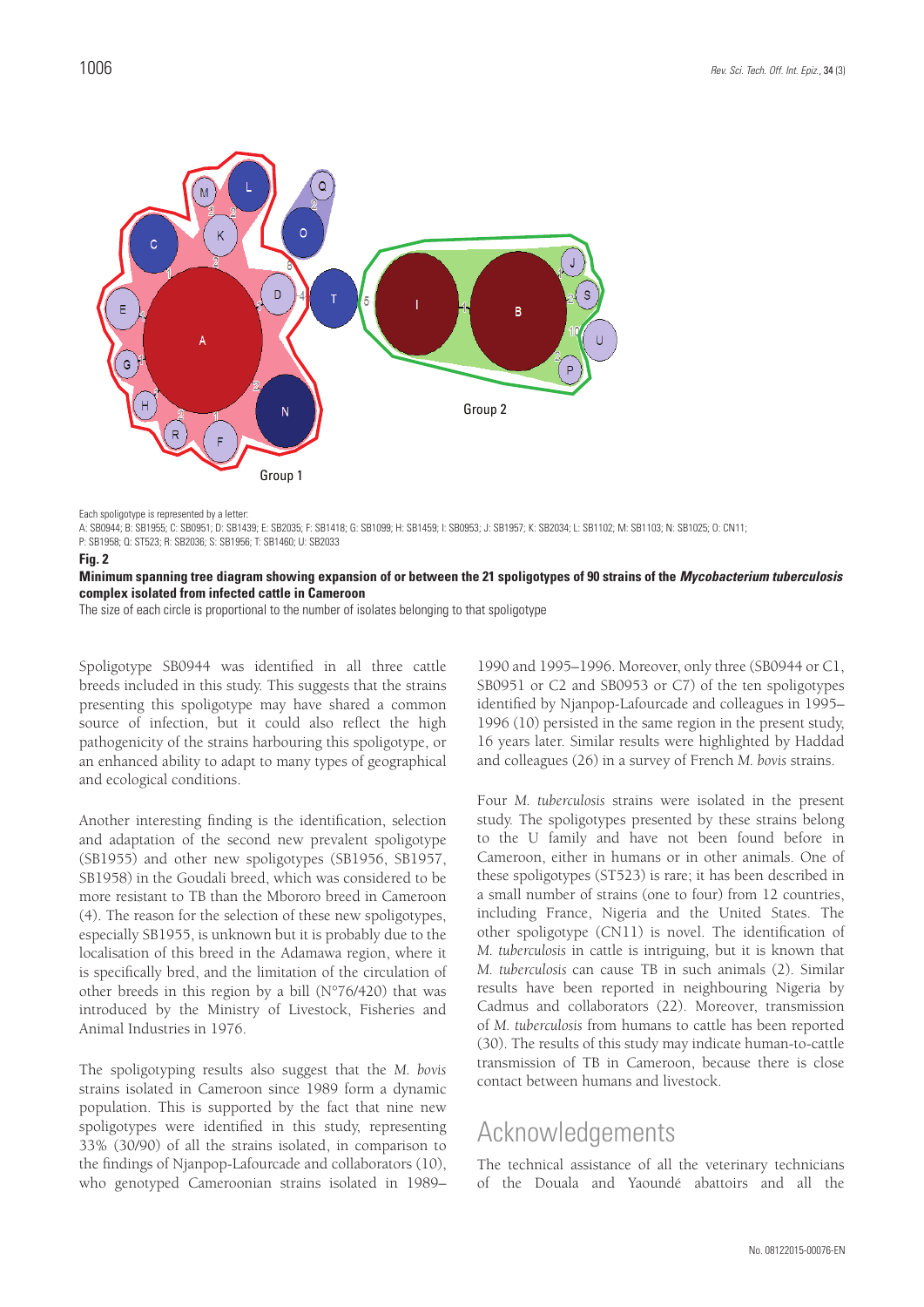

Each spoligotype is represented by a letter:

A: SB0944; B: SB1955; C: SB0951; D: SB1439; E: SB2035; F: SB1418; G: SB1099; H: SB1459; I: SB0953; J: SB1957; K: SB2034; L: SB1102; M: SB1103; N: SB1025; O: CN11;

P: SB1958; Q: ST523; R: SB2036; S: SB1956; T: SB1460; U: SB2033

#### **Fig. 2**

**Minimum spanning tree diagram showing expansion of or between the 21 spoligotypes of 90 strains of the** *Mycobacterium tuberculosis* **complex isolated from infected cattle in Cameroon**

The size of each circle is proportional to the number of isolates belonging to that spoligotype

Spoligotype SB0944 was identified in all three cattle breeds included in this study. This suggests that the strains presenting this spoligotype may have shared a common source of infection, but it could also reflect the high pathogenicity of the strains harbouring this spoligotype, or an enhanced ability to adapt to many types of geographical and ecological conditions.

Another interesting finding is the identification, selection and adaptation of the second new prevalent spoligotype (SB1955) and other new spoligotypes (SB1956, SB1957, SB1958) in the Goudali breed, which was considered to be more resistant to TB than the Mbororo breed in Cameroon (4). The reason for the selection of these new spoligotypes, especially SB1955, is unknown but it is probably due to the localisation of this breed in the Adamawa region, where it is specifically bred, and the limitation of the circulation of other breeds in this region by a bill (N°76/420) that was introduced by the Ministry of Livestock, Fisheries and Animal Industries in 1976.

The spoligotyping results also suggest that the *M. bovis* strains isolated in Cameroon since 1989 form a dynamic population. This is supported by the fact that nine new spoligotypes were identified in this study, representing 33% (30/90) of all the strains isolated, in comparison to the findings of Njanpop-Lafourcade and collaborators (10), who genotyped Cameroonian strains isolated in 1989–

1990 and 1995–1996. Moreover, only three (SB0944 or C1, SB0951 or C2 and SB0953 or C7) of the ten spoligotypes identified by Njanpop-Lafourcade and colleagues in 1995– 1996 (10) persisted in the same region in the present study, 16 years later. Similar results were highlighted by Haddad and colleagues (26) in a survey of French *M. bovis* strains.

Four *M. tuberculosis* strains were isolated in the present study. The spoligotypes presented by these strains belong to the U family and have not been found before in Cameroon, either in humans or in other animals. One of these spoligotypes (ST523) is rare; it has been described in a small number of strains (one to four) from 12 countries, including France, Nigeria and the United States. The other spoligotype (CN11) is novel. The identification of *M. tuberculosis* in cattle is intriguing, but it is known that *M. tuberculosis* can cause TB in such animals (2). Similar results have been reported in neighbouring Nigeria by Cadmus and collaborators (22). Moreover, transmission of *M. tuberculosis* from humans to cattle has been reported (30). The results of this study may indicate human-to-cattle transmission of TB in Cameroon, because there is close contact between humans and livestock.

# Acknowledgements

The technical assistance of all the veterinary technicians of the Douala and Yaoundé abattoirs and all the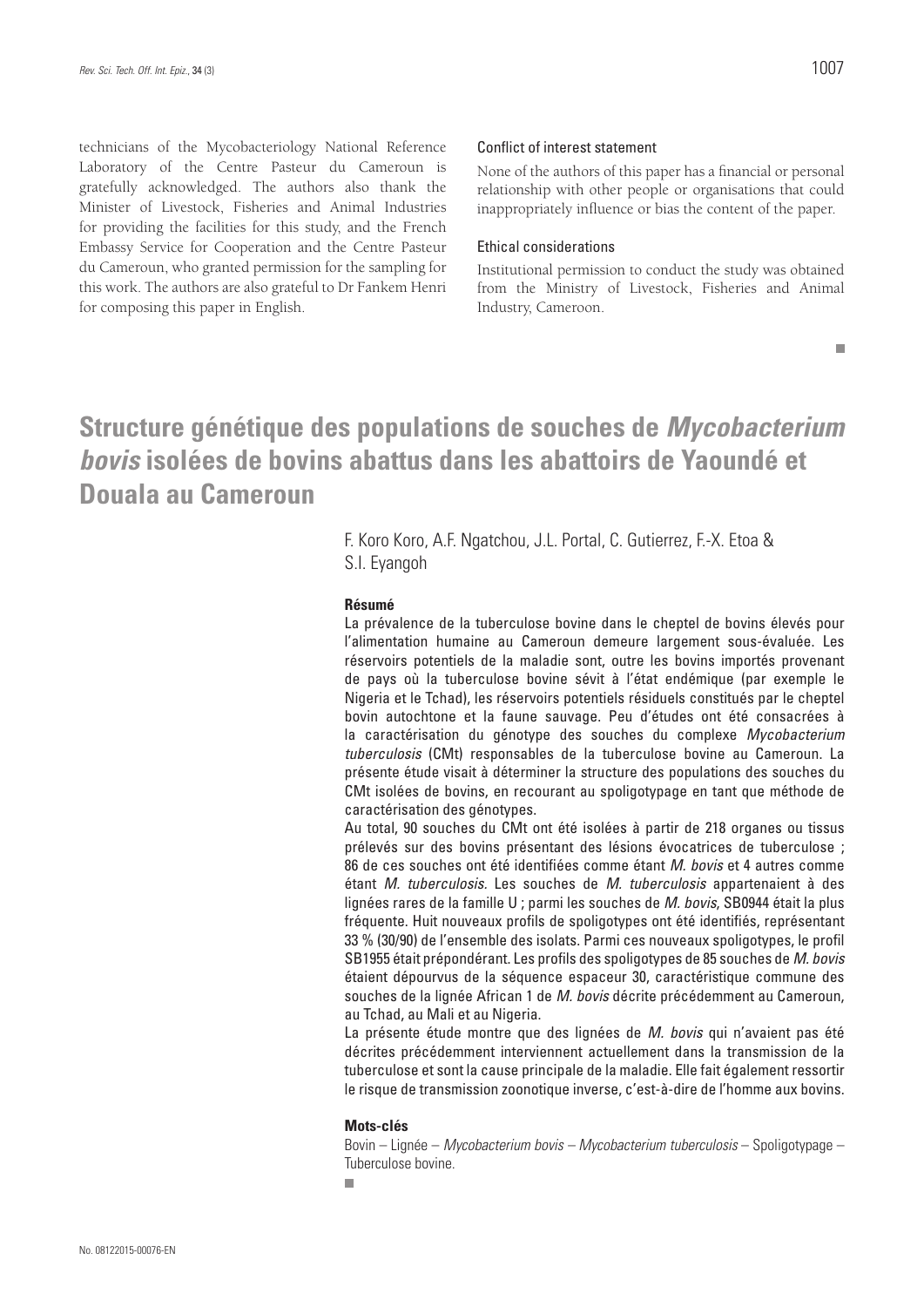technicians of the Mycobacteriology National Reference Laboratory of the Centre Pasteur du Cameroun is gratefully acknowledged. The authors also thank the Minister of Livestock, Fisheries and Animal Industries for providing the facilities for this study, and the French Embassy Service for Cooperation and the Centre Pasteur du Cameroun, who granted permission for the sampling for this work. The authors are also grateful to Dr Fankem Henri for composing this paper in English.

### Conflict of interest statement

None of the authors of this paper has a financial or personal relationship with other people or organisations that could inappropriately influence or bias the content of the paper.

### Ethical considerations

Institutional permission to conduct the study was obtained from the Ministry of Livestock, Fisheries and Animal Industry, Cameroon.

 $\blacksquare$ 

# **Structure génétique des populations de souches de** *Mycobacterium bovis* **isolées de bovins abattus dans les abattoirs de Yaoundé et Douala au Cameroun**

F. Koro Koro, A.F. Ngatchou, J.L. Portal, C. Gutierrez, F.-X. Etoa & S.I. Eyangoh

### **Résumé**

La prévalence de la tuberculose bovine dans le cheptel de bovins élevés pour l'alimentation humaine au Cameroun demeure largement sous-évaluée. Les réservoirs potentiels de la maladie sont, outre les bovins importés provenant de pays où la tuberculose bovine sévit à l'état endémique (par exemple le Nigeria et le Tchad), les réservoirs potentiels résiduels constitués par le cheptel bovin autochtone et la faune sauvage. Peu d'études ont été consacrées à la caractérisation du génotype des souches du complexe *Mycobacterium tuberculosis* (CMt) responsables de la tuberculose bovine au Cameroun. La présente étude visait à déterminer la structure des populations des souches du CMt isolées de bovins, en recourant au spoligotypage en tant que méthode de caractérisation des génotypes.

Au total, 90 souches du CMt ont été isolées à partir de 218 organes ou tissus prélevés sur des bovins présentant des lésions évocatrices de tuberculose ; 86 de ces souches ont été identifiées comme étant *M. bovis* et 4 autres comme étant *M. tuberculosis.* Les souches de *M. tuberculosis* appartenaient à des lignées rares de la famille U ; parmi les souches de *M. bovis*, SB0944 était la plus fréquente. Huit nouveaux profils de spoligotypes ont été identifiés, représentant 33 % (30/90) de l'ensemble des isolats. Parmi ces nouveaux spoligotypes, le profil SB1955 était prépondérant. Les profils des spoligotypes de 85 souches de *M. bovis* étaient dépourvus de la séquence espaceur 30, caractéristique commune des souches de la lignée African 1 de *M. bovis* décrite précédemment au Cameroun, au Tchad, au Mali et au Nigeria.

La présente étude montre que des lignées de *M. bovis* qui n'avaient pas été décrites précédemment interviennent actuellement dans la transmission de la tuberculose et sont la cause principale de la maladie. Elle fait également ressortir le risque de transmission zoonotique inverse, c'est-à-dire de l'homme aux bovins.

#### **Mots-clés**

Bovin – Lignée – *Mycobacterium bovis – Mycobacterium tuberculosis* – Spoligotypage – Tuberculose bovine.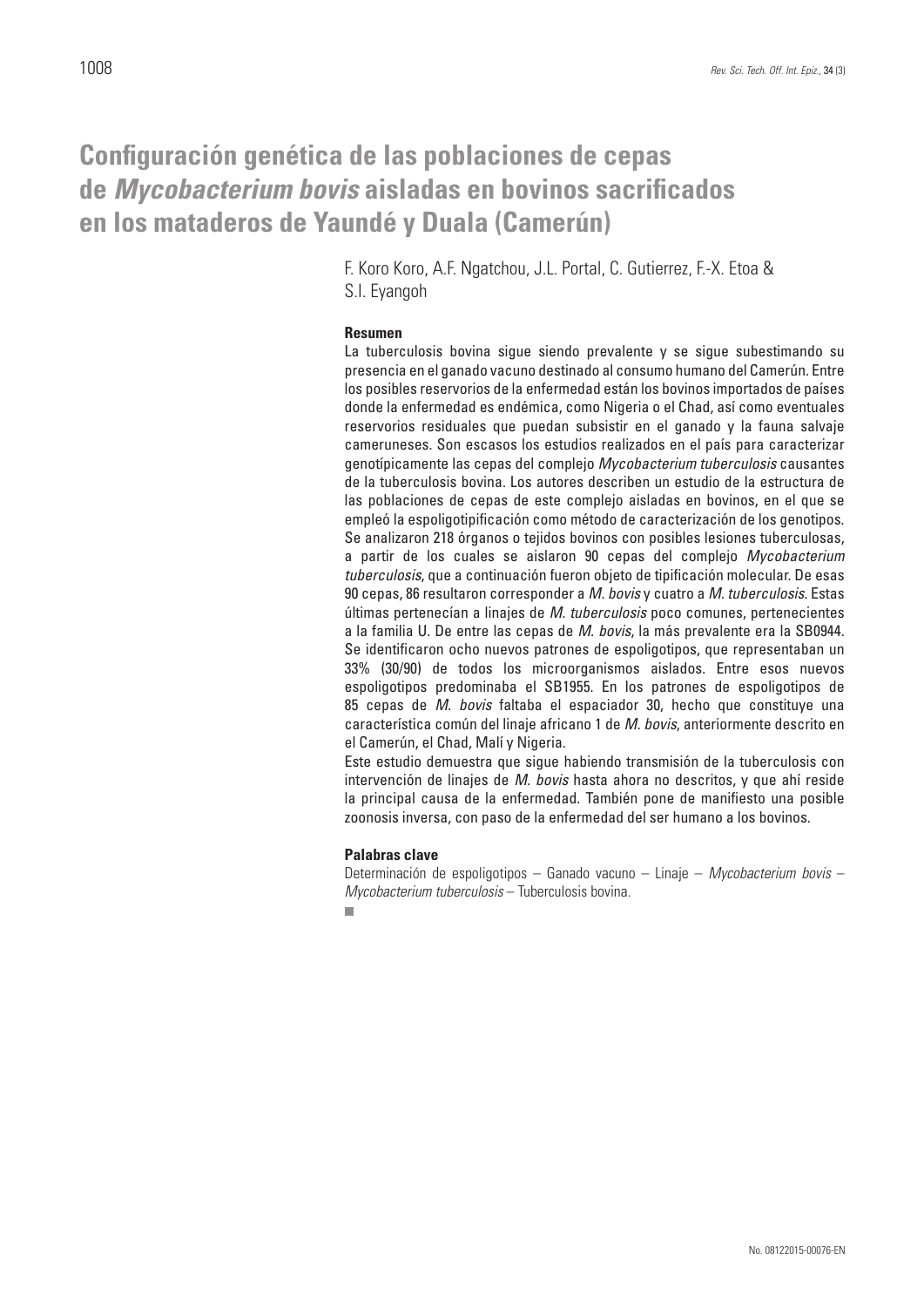# **Configuración genética de las poblaciones de cepas de** *Mycobacterium bovis* **aisladas en bovinos sacrificados en los mataderos de Yaundé y Duala (Camerún)**

F. Koro Koro, A.F. Ngatchou, J.L. Portal, C. Gutierrez, F.-X. Etoa & S.I. Eyangoh

### **Resumen**

La tuberculosis bovina sigue siendo prevalente y se sigue subestimando su presencia en el ganado vacuno destinado al consumo humano del Camerún. Entre los posibles reservorios de la enfermedad están los bovinos importados de países donde la enfermedad es endémica, como Nigeria o el Chad, así como eventuales reservorios residuales que puedan subsistir en el ganado y la fauna salvaje cameruneses. Son escasos los estudios realizados en el país para caracterizar genotípicamente las cepas del complejo *Mycobacterium tuberculosis* causantes de la tuberculosis bovina. Los autores describen un estudio de la estructura de las poblaciones de cepas de este complejo aisladas en bovinos, en el que se empleó la espoligotipificación como método de caracterización de los genotipos. Se analizaron 218 órganos o tejidos bovinos con posibles lesiones tuberculosas, a partir de los cuales se aislaron 90 cepas del complejo *Mycobacterium tuberculosis*, que a continuación fueron objeto de tipificación molecular. De esas 90 cepas, 86 resultaron corresponder a *M. bovis* y cuatro a *M. tuberculosis*. Estas últimas pertenecían a linajes de *M. tuberculosis* poco comunes, pertenecientes a la familia U. De entre las cepas de *M. bovis*, la más prevalente era la SB0944. Se identificaron ocho nuevos patrones de espoligotipos, que representaban un 33% (30/90) de todos los microorganismos aislados. Entre esos nuevos espoligotipos predominaba el SB1955. En los patrones de espoligotipos de 85 cepas de *M. bovis* faltaba el espaciador 30, hecho que constituye una característica común del linaje africano 1 de *M. bovis*, anteriormente descrito en el Camerún, el Chad, Malí y Nigeria.

Este estudio demuestra que sigue habiendo transmisión de la tuberculosis con intervención de linajes de *M. bovis* hasta ahora no descritos, y que ahí reside la principal causa de la enfermedad. También pone de manifiesto una posible zoonosis inversa, con paso de la enfermedad del ser humano a los bovinos.

### **Palabras clave**

Determinación de espoligotipos – Ganado vacuno – Linaje – *Mycobacterium bovis* – *Mycobacterium tuberculosis* – Tuberculosis bovina.

 $\Box$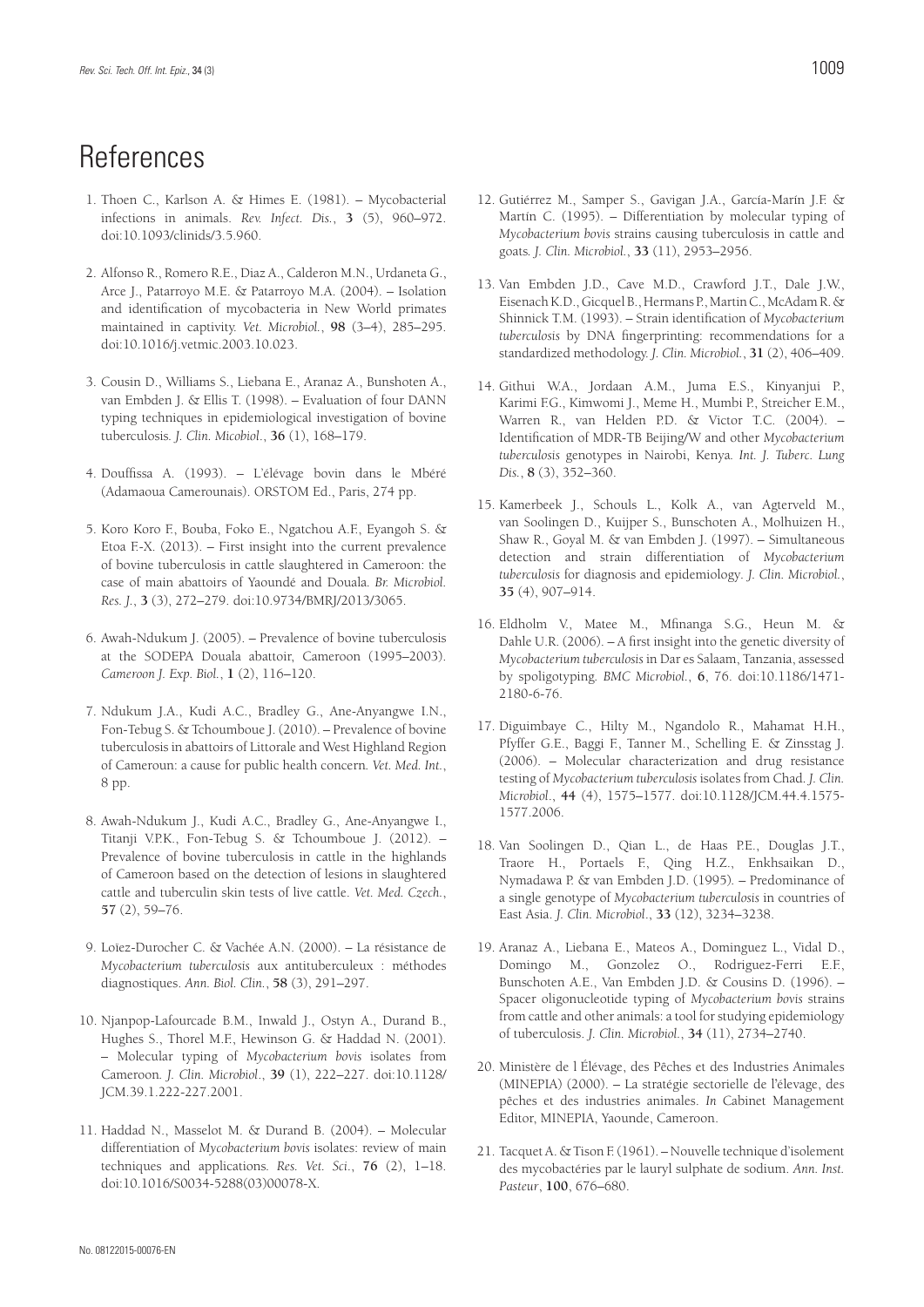# **References**

- 1. Thoen C., Karlson A. & Himes E. (1981). Mycobacterial infections in animals. *Rev. Infect. Dis.*, **3** (5), 960–972. doi:10.1093/clinids/3.5.960.
- 2. Alfonso R., Romero R.E., Diaz A., Calderon M.N., Urdaneta G., Arce J., Patarroyo M.E. & Patarroyo M.A. (2004). – Isolation and identification of mycobacteria in New World primates maintained in captivity. *Vet. Microbiol.*, **98** (3–4), 285–295. doi:10.1016/j.vetmic.2003.10.023.
- 3. Cousin D., Williams S., Liebana E., Aranaz A., Bunshoten A., van Embden J. & Ellis T. (1998). – Evaluation of four DANN typing techniques in epidemiological investigation of bovine tuberculosis*. J. Clin. Micobiol*., **36** (1), 168–179.
- 4. Douffissa A. (1993). L'élévage bovin dans le Mbéré (Adamaoua Camerounais). ORSTOM Ed., Paris, 274 pp.
- 5. Koro Koro F., Bouba, Foko E., Ngatchou A.F., Eyangoh S. & Etoa F.-X. (2013). – First insight into the current prevalence of bovine tuberculosis in cattle slaughtered in Cameroon: the case of main abattoirs of Yaoundé and Douala*. Br. Microbiol. Res. J.*, **3** (3), 272–279. doi:10.9734/BMRJ/2013/3065.
- 6. Awah-Ndukum J. (2005). Prevalence of bovine tuberculosis at the SODEPA Douala abattoir, Cameroon (1995–2003). *Cameroon J. Exp. Biol.*, **1** (2), 116–120.
- 7. Ndukum J.A., Kudi A.C., Bradley G., Ane-Anyangwe I.N., Fon-Tebug S. & Tchoumboue J. (2010). – Prevalence of bovine tuberculosis in abattoirs of Littorale and West Highland Region of Cameroun: a cause for public health concern*. Vet. Med. Int.*, 8 pp.
- 8. Awah-Ndukum J., Kudi A.C., Bradley G., Ane-Anyangwe I., Titanji V.P.K., Fon-Tebug S. & Tchoumboue J. (2012). – Prevalence of bovine tuberculosis in cattle in the highlands of Cameroon based on the detection of lesions in slaughtered cattle and tuberculin skin tests of live cattle. *Vet. Med. Czech.*, **57** (2), 59–76.
- 9. Loïez-Durocher C. & Vachée A.N. (2000). La résistance de *Mycobacterium tuberculosis* aux antituberculeux : méthodes diagnostiques. *Ann. Biol. Clin.*, **58** (3), 291–297.
- 10. Njanpop-Lafourcade B.M., Inwald J., Ostyn A., Durand B., Hughes S., Thorel M.F., Hewinson G. & Haddad N. (2001). – Molecular typing of *Mycobacterium bovis* isolates from Cameroon*. J. Clin. Microbiol*., **39** (1), 222–227. doi:10.1128/ JCM.39.1.222-227.2001.
- 11. Haddad N., Masselot M. & Durand B. (2004). Molecular differentiation of *Mycobacterium bovis* isolates: review of main techniques and applications*. Res. Vet. Sci*., **76** (2), 1–18. doi:10.1016/S0034-5288(03)00078-X.
- 
- 12. Gutiérrez M., Samper S., Gavigan J.A., García-Marín J.F. & Martín C. (1995). – Differentiation by molecular typing of *Mycobacterium bovis* strains causing tuberculosis in cattle and goats*. J. Clin. Microbiol.*, **33** (11), 2953–2956.
- 13. Van Embden J.D., Cave M.D., Crawford J.T., Dale J.W., Eisenach K.D., Gicquel B., Hermans P., Martin C., McAdam R. & Shinnick T.M. (1993). – Strain identification of *Mycobacterium tuberculosis* by DNA fingerprinting: recommendations for a standardized methodology. *J. Clin. Microbiol.*, **31** (2), 406–409.
- 14. Githui W.A., Jordaan A.M., Juma E.S., Kinyanjui P., Karimi F.G., Kimwomi J., Meme H., Mumbi P., Streicher E.M., Warren R., van Helden P.D. & Victor T.C. (2004). – Identification of MDR-TB Beijing/W and other *Mycobacterium tuberculosis* genotypes in Nairobi, Kenya*. Int. J. Tuberc. Lung Dis.*, **8** (3), 352–360.
- 15. Kamerbeek J., Schouls L., Kolk A., van Agterveld M., van Soolingen D., Kuijper S., Bunschoten A., Molhuizen H., Shaw R., Goyal M. & van Embden J. (1997). – Simultaneous detection and strain differentiation of *Mycobacterium tuberculosis* for diagnosis and epidemiology*. J. Clin. Microbiol.*, **35** (4), 907–914.
- 16. Eldholm V., Matee M., Mfinanga S.G., Heun M. & Dahle U.R. (2006). – A first insight into the genetic diversity of *Mycobacterium tuberculosis* in Dar es Salaam, Tanzania, assessed by spoligotyping*. BMC Microbiol.*, **6**, 76. doi:10.1186/1471- 2180-6-76.
- 17. Diguimbaye C., Hilty M., Ngandolo R., Mahamat H.H., Pfyffer G.E., Baggi F., Tanner M., Schelling E. & Zinsstag J. (2006). – Molecular characterization and drug resistance testing of *Mycobacterium tuberculosis* isolates from Chad*. J. Clin. Microbiol*., **44** (4), 1575–1577. doi:10.1128/JCM.44.4.1575- 1577.2006.
- 18. Van Soolingen D., Qian L., de Haas P.E., Douglas J.T., Traore H., Portaels F., Qing H.Z., Enkhsaikan D., Nymadawa P. & van Embden J.D. (1995)*.* – Predominance of a single genotype of *Mycobacterium tuberculosis* in countries of East Asia. *J. Clin. Microbiol*., **33** (12), 3234–3238.
- 19. Aranaz A., Liebana E., Mateos A., Dominguez L., Vidal D., Domingo M., Gonzolez O., Rodriguez-Ferri E.F., Bunschoten A.E., Van Embden J.D. & Cousins D. (1996). – Spacer oligonucleotide typing of *Mycobacterium bovis* strains from cattle and other animals: a tool for studying epidemiology of tuberculosis. *J. Clin. Microbiol.*, **34** (11), 2734–2740.
- 20. Ministère de l Élévage, des Pêches et des Industries Animales (MINEPIA) (2000). – La stratégie sectorielle de l'élevage, des pêches et des industries animales. *In* Cabinet Management Editor, MINEPIA, Yaounde, Cameroon.
- 21. Tacquet A. & Tison F. (1961). Nouvelle technique d'isolement des mycobactéries par le lauryl sulphate de sodium. *Ann. Inst. Pasteur*, **100**, 676–680.